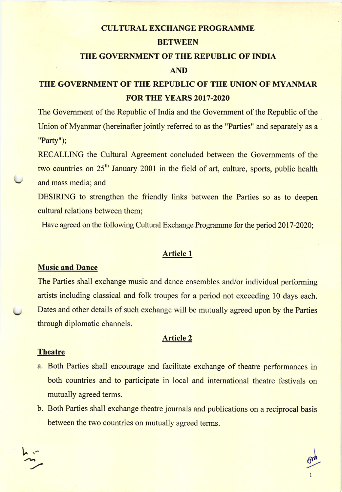## **CULTURAL EXCHANGE PROGRAMME**

## BETWEEN

## THE GOVERNMENT OF THE REPUBLIC OF INDIA

## AND

# THE GOVERNMENT OF THE REPUBLIC OF THE UNION OF MYANMAR FORTHE YEARS 2017-2020

The Govemment of the Republic of India and the Govemment of the Republic of the Union of Myanmar (hereinafter jointly referred to as the "Parties" and separately as a "Party");

RECALLING the Cultural Agreement concluded between the Govemments of the two countries on 25<sup>th</sup> January 2001 in the field of art, culture, sports, public health and mass media; and

DESIRING to strengthen the friendly links between the Parties so as to deepen cultural relations between them;

Have agreed on the following Cultural Exchange Programme for the period 2017-2020;

## Article I

## Music and Dance

The Parties shall exchange music and dance ensembles and/or individual performing artists including classical and folk troupes for a period not exceeding 10 days each. Dates and other details of such exchange will be mutually agreed upon by the Parties through diplomatic channels.

## Article 2

#### **Theatre**

 $h \sim$ 

- a. Both Parties shall encourage and facilitate exchange of theatre performances in both countries and to participate in local and international theatre festivals on mutually agreed terms.
- b. Both Parties shall exchange theatre joumals and publications on a reciprocal basis between the two countries on mutually agreed terms.

 $\frac{1}{\sqrt{1}}$ 

I